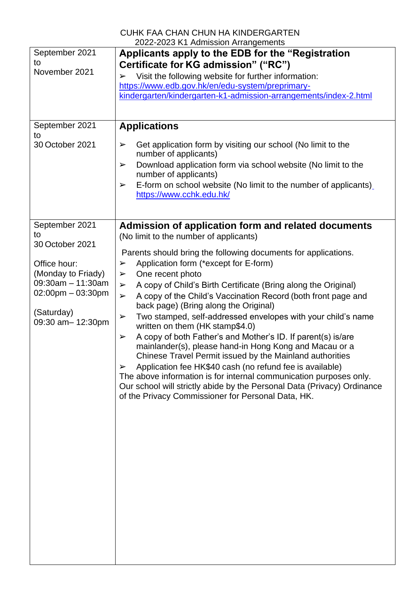|                        | CUHK FAA CHAN CHUN HA KINDERGARTEN                                                                                       |
|------------------------|--------------------------------------------------------------------------------------------------------------------------|
|                        | 2022-2023 K1 Admission Arrangements                                                                                      |
| September 2021         | Applicants apply to the EDB for the "Registration"                                                                       |
| to                     | Certificate for KG admission" ("RC")                                                                                     |
| November 2021          | Visit the following website for further information:<br>➤                                                                |
|                        | https://www.edb.gov.hk/en/edu-system/preprimary-                                                                         |
|                        | kindergarten/kindergarten-k1-admission-arrangements/index-2.html                                                         |
|                        |                                                                                                                          |
|                        |                                                                                                                          |
| September 2021         | <b>Applications</b>                                                                                                      |
| to<br>30 October 2021  | Get application form by visiting our school (No limit to the<br>➤                                                        |
|                        | number of applicants)<br>Download application form via school website (No limit to the<br>➤                              |
|                        | number of applicants)                                                                                                    |
|                        | E-form on school website (No limit to the number of applicants)<br>➤<br>https://www.cchk.edu.hk/                         |
|                        |                                                                                                                          |
| September 2021         | Admission of application form and related documents                                                                      |
| to                     | (No limit to the number of applicants)                                                                                   |
| 30 October 2021        |                                                                                                                          |
|                        | Parents should bring the following documents for applications.                                                           |
| Office hour:           | Application form (*except for E-form)<br>➤                                                                               |
| (Monday to Friady)     | One recent photo<br>➤                                                                                                    |
| $09:30$ am $-11:30$ am |                                                                                                                          |
| $02:00$ pm $-03:30$ pm | A copy of Child's Birth Certificate (Bring along the Original)<br>$\blacktriangleright$                                  |
|                        | A copy of the Child's Vaccination Record (both front page and<br>$\blacktriangleright$                                   |
| (Saturday)             | back page) (Bring along the Original)                                                                                    |
| 09:30 am-12:30pm       | Two stamped, self-addressed envelopes with your child's name<br>$\blacktriangleright$<br>written on them (HK stamp\$4.0) |
|                        | A copy of both Father's and Mother's ID. If parent(s) is/are<br>➤                                                        |
|                        | mainlander(s), please hand-in Hong Kong and Macau or a                                                                   |
|                        |                                                                                                                          |
|                        | Chinese Travel Permit issued by the Mainland authorities                                                                 |
|                        | Application fee HK\$40 cash (no refund fee is available)<br>$\blacktriangleright$                                        |
|                        | The above information is for internal communication purposes only.                                                       |
|                        | Our school will strictly abide by the Personal Data (Privacy) Ordinance                                                  |
|                        | of the Privacy Commissioner for Personal Data, HK.                                                                       |
|                        |                                                                                                                          |
|                        |                                                                                                                          |
|                        |                                                                                                                          |
|                        |                                                                                                                          |
|                        |                                                                                                                          |
|                        |                                                                                                                          |
|                        |                                                                                                                          |
|                        |                                                                                                                          |
|                        |                                                                                                                          |
|                        |                                                                                                                          |
|                        |                                                                                                                          |
|                        |                                                                                                                          |
|                        |                                                                                                                          |
|                        |                                                                                                                          |
|                        |                                                                                                                          |
|                        |                                                                                                                          |
|                        |                                                                                                                          |